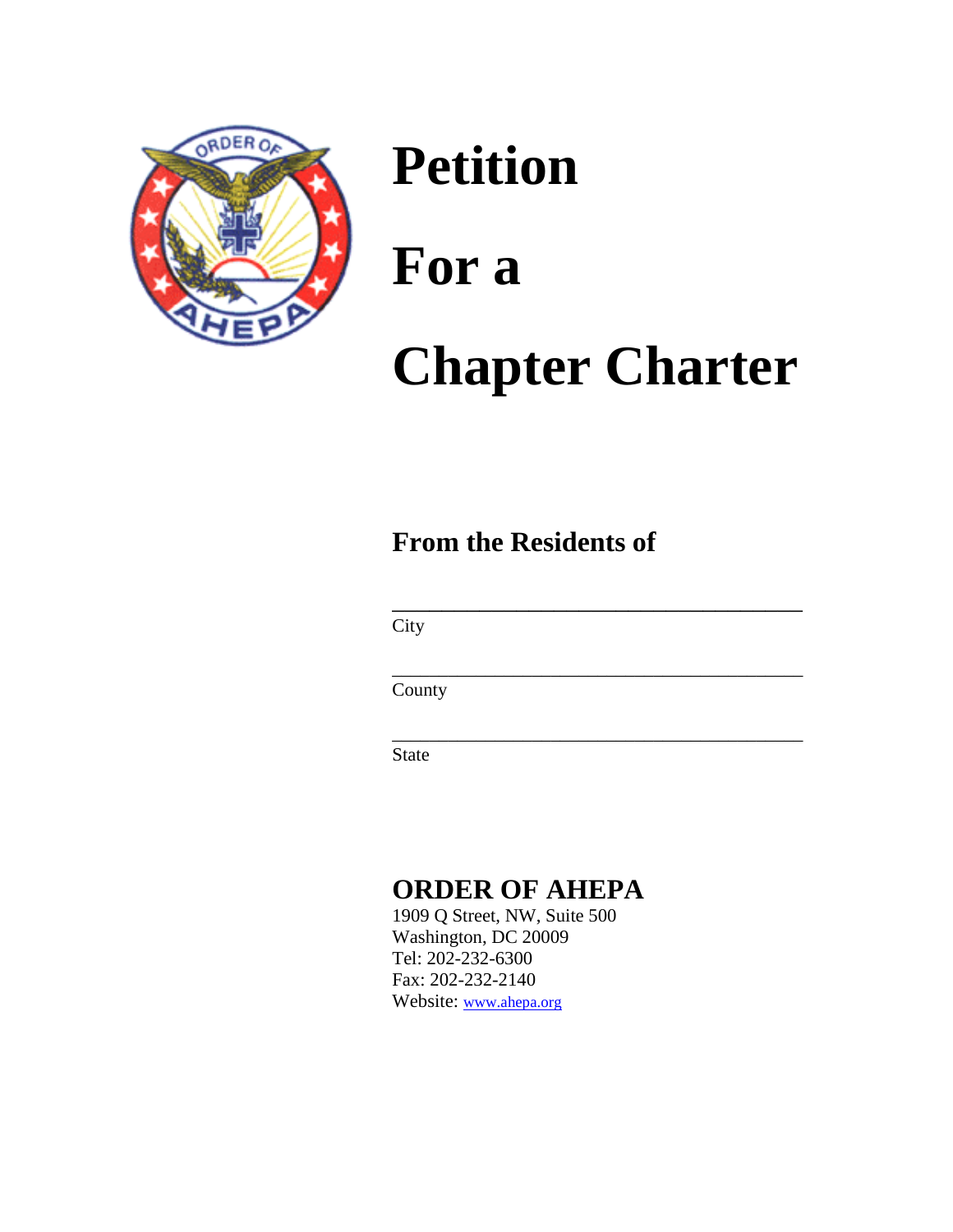

# **Petition For a Chapter Charter**

## **From the Residents of**

**City** 

County

 $\frac{1}{\sqrt{2\pi}}$  , which is a set of the set of the set of the set of the set of the set of the set of the set of the set of the set of the set of the set of the set of the set of the set of the set of the set of the set of

 $\overline{\phantom{a}}$  ,  $\overline{\phantom{a}}$  ,  $\overline{\phantom{a}}$  ,  $\overline{\phantom{a}}$  ,  $\overline{\phantom{a}}$  ,  $\overline{\phantom{a}}$  ,  $\overline{\phantom{a}}$  ,  $\overline{\phantom{a}}$  ,  $\overline{\phantom{a}}$  ,  $\overline{\phantom{a}}$  ,  $\overline{\phantom{a}}$  ,  $\overline{\phantom{a}}$  ,  $\overline{\phantom{a}}$  ,  $\overline{\phantom{a}}$  ,  $\overline{\phantom{a}}$  ,  $\overline{\phantom{a}}$ 

 $\overline{\phantom{a}}$  ,  $\overline{\phantom{a}}$  ,  $\overline{\phantom{a}}$  ,  $\overline{\phantom{a}}$  ,  $\overline{\phantom{a}}$  ,  $\overline{\phantom{a}}$  ,  $\overline{\phantom{a}}$  ,  $\overline{\phantom{a}}$  ,  $\overline{\phantom{a}}$  ,  $\overline{\phantom{a}}$  ,  $\overline{\phantom{a}}$  ,  $\overline{\phantom{a}}$  ,  $\overline{\phantom{a}}$  ,  $\overline{\phantom{a}}$  ,  $\overline{\phantom{a}}$  ,  $\overline{\phantom{a}}$ 

State

### **ORDER OF AHEPA**

1909 Q Street, NW, Suite 500 Washington, DC 20009 Tel: 202-232-6300 Fax: 202-232-2140 Website: [www.ahepa.org](http://www.ahepa.org/)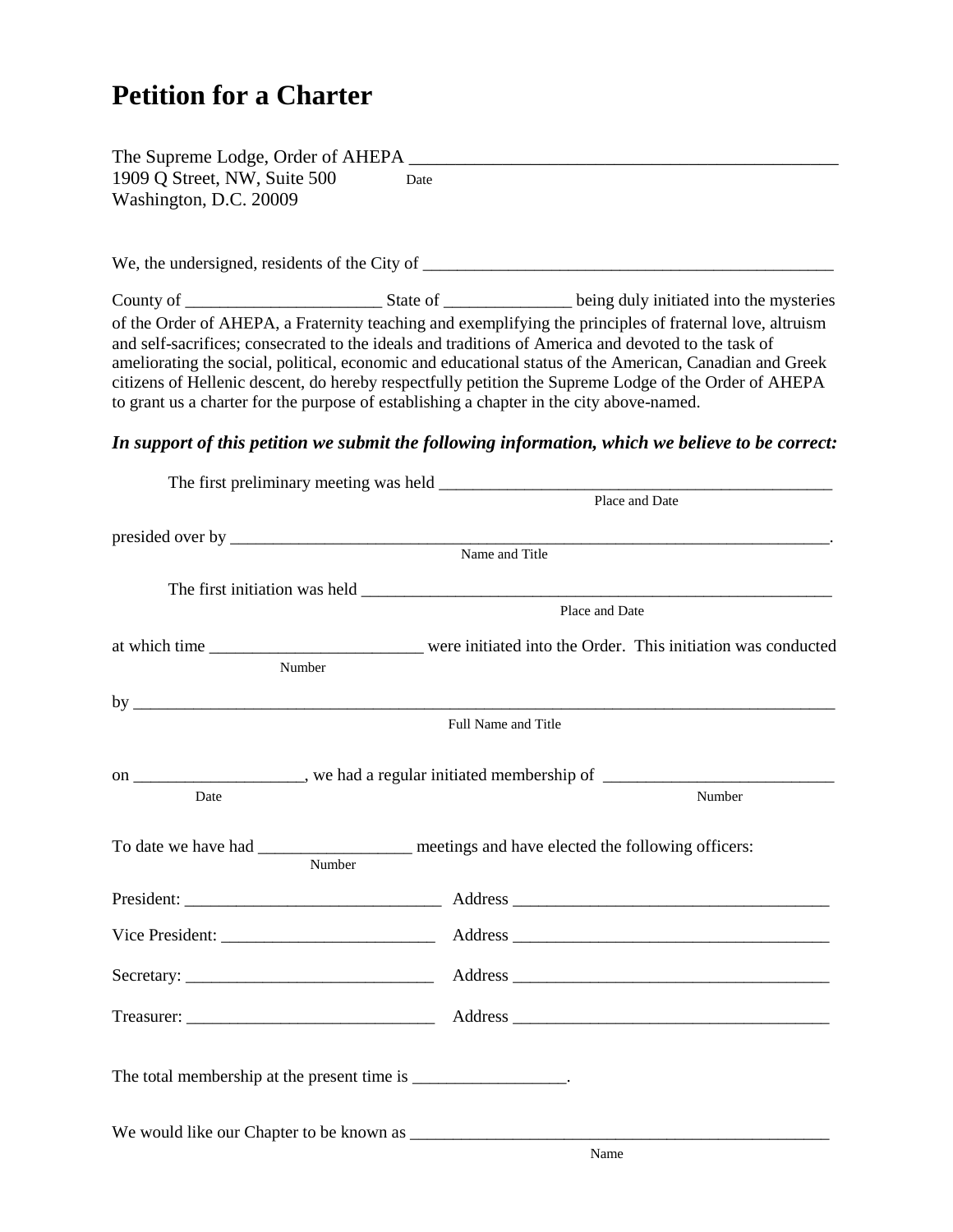### **Petition for a Charter**

| The Supreme Lodge, Order of AHEPA             |      |
|-----------------------------------------------|------|
| 1909 Q Street, NW, Suite 500                  | Date |
| Washington, D.C. 20009                        |      |
|                                               |      |
|                                               |      |
| We, the undersigned, residents of the City of |      |

County of \_\_\_\_\_\_\_\_\_\_\_\_\_\_\_\_\_\_\_\_\_\_\_ State of \_\_\_\_\_\_\_\_\_\_\_\_\_\_\_ being duly initiated into the mysteries of the Order of AHEPA, a Fraternity teaching and exemplifying the principles of fraternal love, altruism and self-sacrifices; consecrated to the ideals and traditions of America and devoted to the task of ameliorating the social, political, economic and educational status of the American, Canadian and Greek citizens of Hellenic descent, do hereby respectfully petition the Supreme Lodge of the Order of AHEPA to grant us a charter for the purpose of establishing a chapter in the city above-named.

#### *In support of this petition we submit the following information, which we believe to be correct:*

|                                                                                 | Place and Date                                                                                                                                                                                                                 |  |  |
|---------------------------------------------------------------------------------|--------------------------------------------------------------------------------------------------------------------------------------------------------------------------------------------------------------------------------|--|--|
|                                                                                 |                                                                                                                                                                                                                                |  |  |
|                                                                                 | Name and Title                                                                                                                                                                                                                 |  |  |
|                                                                                 |                                                                                                                                                                                                                                |  |  |
|                                                                                 |                                                                                                                                                                                                                                |  |  |
|                                                                                 | Place and Date                                                                                                                                                                                                                 |  |  |
|                                                                                 |                                                                                                                                                                                                                                |  |  |
| Number                                                                          |                                                                                                                                                                                                                                |  |  |
|                                                                                 |                                                                                                                                                                                                                                |  |  |
|                                                                                 |                                                                                                                                                                                                                                |  |  |
|                                                                                 | Full Name and Title                                                                                                                                                                                                            |  |  |
|                                                                                 |                                                                                                                                                                                                                                |  |  |
| on _____________________, we had a regular initiated membership of ____________ |                                                                                                                                                                                                                                |  |  |
| Date                                                                            | Number                                                                                                                                                                                                                         |  |  |
|                                                                                 |                                                                                                                                                                                                                                |  |  |
|                                                                                 | To date we have had __________________ meetings and have elected the following officers:                                                                                                                                       |  |  |
| Number                                                                          |                                                                                                                                                                                                                                |  |  |
|                                                                                 |                                                                                                                                                                                                                                |  |  |
|                                                                                 |                                                                                                                                                                                                                                |  |  |
|                                                                                 | Vice President: Address Address Address Address Address Andreas Address Address Address Address Address Address Address Address Address Address Address Address Address Address Address Address Address Address Address Addres |  |  |
|                                                                                 |                                                                                                                                                                                                                                |  |  |
|                                                                                 |                                                                                                                                                                                                                                |  |  |
|                                                                                 |                                                                                                                                                                                                                                |  |  |
|                                                                                 |                                                                                                                                                                                                                                |  |  |
|                                                                                 |                                                                                                                                                                                                                                |  |  |
| The total membership at the present time is ________________.                   |                                                                                                                                                                                                                                |  |  |
|                                                                                 |                                                                                                                                                                                                                                |  |  |
|                                                                                 |                                                                                                                                                                                                                                |  |  |
|                                                                                 | Name                                                                                                                                                                                                                           |  |  |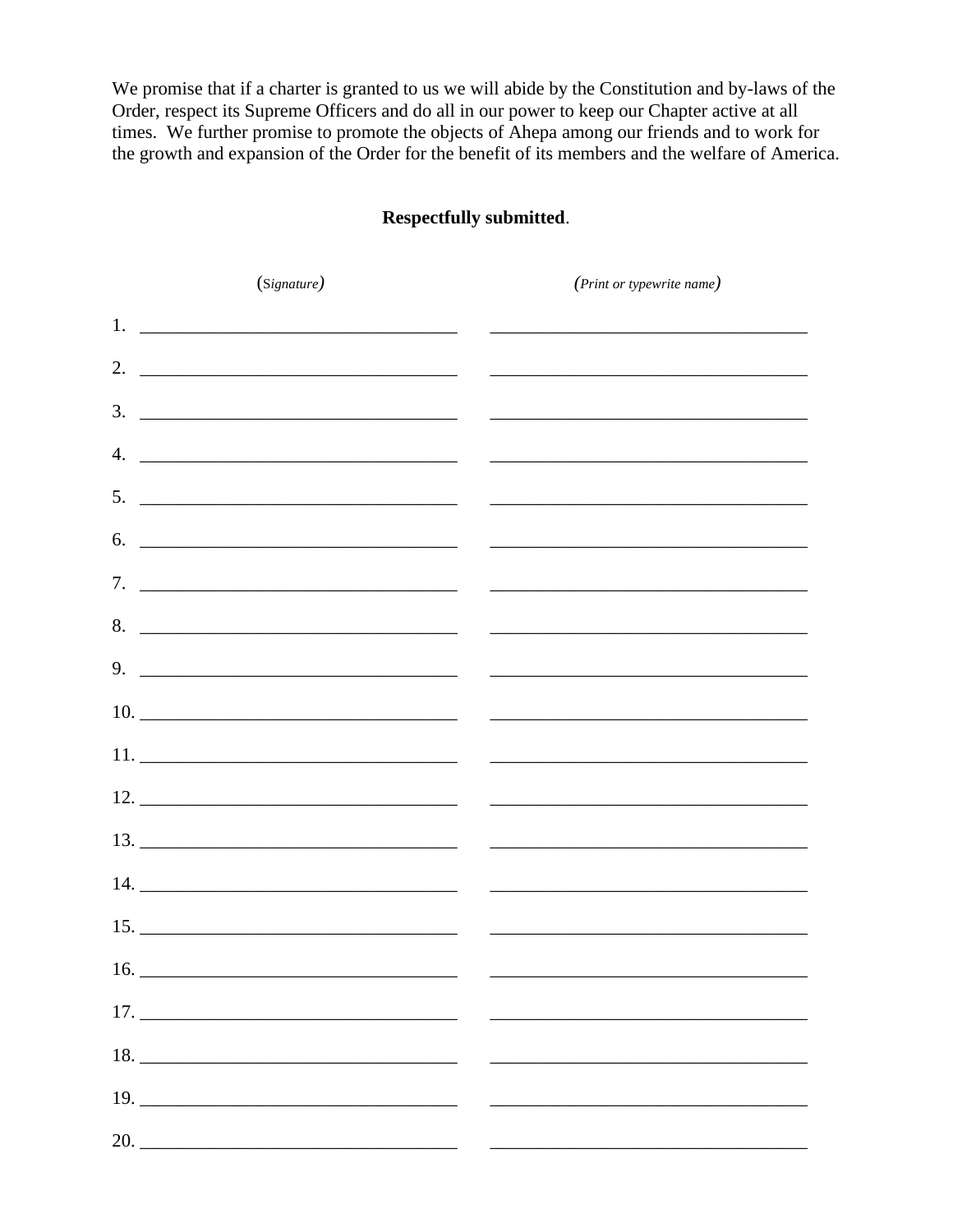We promise that if a charter is granted to us we will abide by the Constitution and by-laws of the Order, respect its Supreme Officers and do all in our power to keep our Chapter active at all times. We further promise to promote the objects of Ahepa among our friends and to work for the growth and expansion of the Order for the benefit of its members and the welfare of America.

#### Respectfully submitted.

| (Signature) |                    | (Print or typewrite name)                                            |  |  |
|-------------|--------------------|----------------------------------------------------------------------|--|--|
|             |                    |                                                                      |  |  |
|             | 2. $\qquad \qquad$ |                                                                      |  |  |
|             |                    |                                                                      |  |  |
|             |                    |                                                                      |  |  |
|             |                    |                                                                      |  |  |
|             |                    |                                                                      |  |  |
|             |                    |                                                                      |  |  |
|             |                    |                                                                      |  |  |
|             |                    |                                                                      |  |  |
|             |                    | $10.$ $\overline{\phantom{a}}$                                       |  |  |
|             |                    |                                                                      |  |  |
|             |                    |                                                                      |  |  |
|             |                    |                                                                      |  |  |
|             |                    |                                                                      |  |  |
|             |                    |                                                                      |  |  |
|             | 16.                |                                                                      |  |  |
|             |                    |                                                                      |  |  |
|             |                    |                                                                      |  |  |
|             | 19.                | <u> 2000 - Jan James James Barnett, amerikansk politik (d. 1888)</u> |  |  |
|             |                    |                                                                      |  |  |